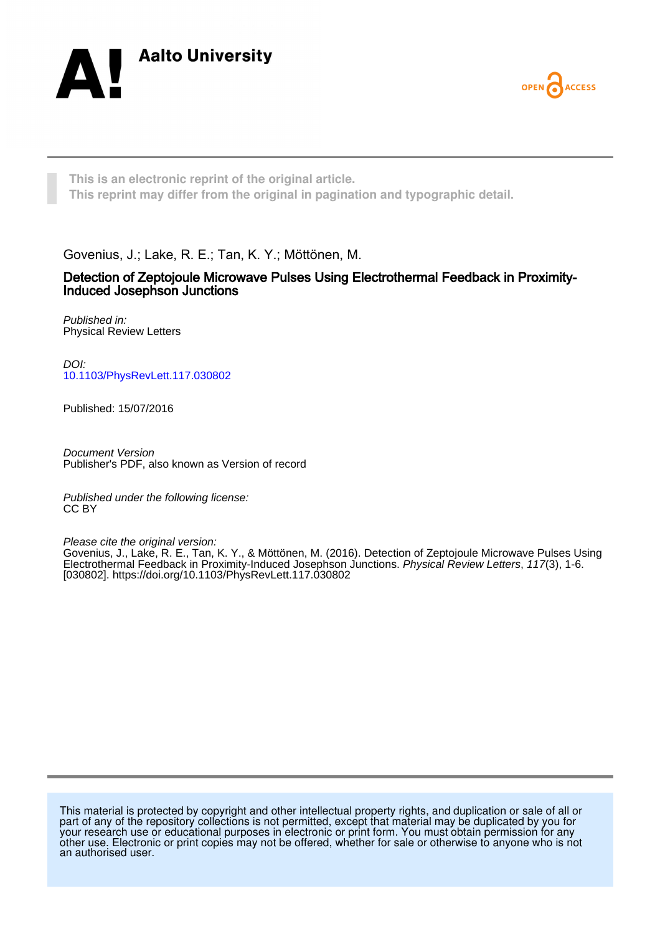



**This is an electronic reprint of the original article. This reprint may differ from the original in pagination and typographic detail.**

Govenius, J.; Lake, R. E.; Tan, K. Y.; Möttönen, M.

## Detection of Zeptojoule Microwave Pulses Using Electrothermal Feedback in Proximity-Induced Josephson Junctions

Published in: Physical Review Letters

DOI: [10.1103/PhysRevLett.117.030802](https://doi.org/10.1103/PhysRevLett.117.030802)

Published: 15/07/2016

Document Version Publisher's PDF, also known as Version of record

Published under the following license: CC BY

Please cite the original version:

Govenius, J., Lake, R. E., Tan, K. Y., & Möttönen, M. (2016). Detection of Zeptojoule Microwave Pulses Using Electrothermal Feedback in Proximity-Induced Josephson Junctions. Physical Review Letters, 117(3), 1-6. [030802].<https://doi.org/10.1103/PhysRevLett.117.030802>

This material is protected by copyright and other intellectual property rights, and duplication or sale of all or part of any of the repository collections is not permitted, except that material may be duplicated by you for your research use or educational purposes in electronic or print form. You must obtain permission for any other use. Electronic or print copies may not be offered, whether for sale or otherwise to anyone who is not an authorised user.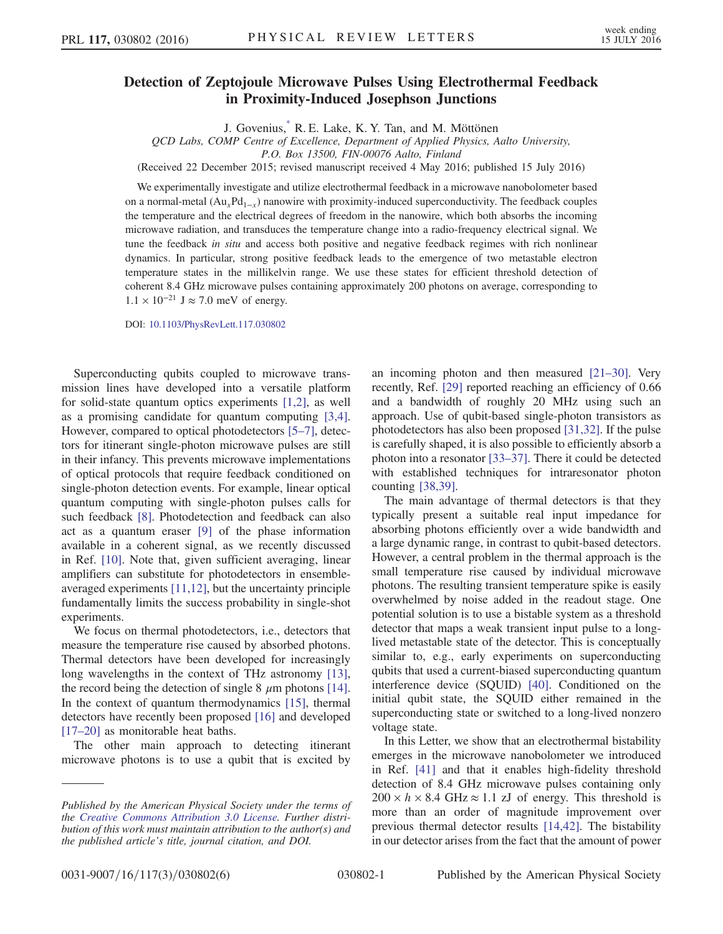## <span id="page-1-0"></span>Detection of Zeptojoule Microwave Pulses Using Electrothermal Feedback in Proximity-Induced Josephson Junctions

J. Govenius, R. E. Lake, K. Y. Tan, and M. Möttönen

QCD Labs, COMP Centre of Excellence, Department of Applied Physics, Aalto University,

P.O. Box 13500, FIN-00076 Aalto, Finland

(Received 22 December 2015; revised manuscript received 4 May 2016; published 15 July 2016)

We experimentally investigate and utilize electrothermal feedback in a microwave nanobolometer based on a normal-metal  $(Au_xPd_{1-x})$  nanowire with proximity-induced superconductivity. The feedback couples the temperature and the electrical degrees of freedom in the nanowire, which both absorbs the incoming microwave radiation, and transduces the temperature change into a radio-frequency electrical signal. We tune the feedback in situ and access both positive and negative feedback regimes with rich nonlinear dynamics. In particular, strong positive feedback leads to the emergence of two metastable electron temperature states in the millikelvin range. We use these states for efficient threshold detection of coherent 8.4 GHz microwave pulses containing approximately 200 photons on average, corresponding to  $1.1 \times 10^{-21}$  J ≈ 7.0 meV of energy.

DOI: [10.1103/PhysRevLett.117.030802](http://dx.doi.org/10.1103/PhysRevLett.117.030802)

Superconducting qubits coupled to microwave transmission lines have developed into a versatile platform for solid-state quantum optics experiments [\[1,2\]](#page-5-1), as well as a promising candidate for quantum computing [\[3,4\]](#page-5-2). However, compared to optical photodetectors [\[5](#page-5-3)–7], detectors for itinerant single-photon microwave pulses are still in their infancy. This prevents microwave implementations of optical protocols that require feedback conditioned on single-photon detection events. For example, linear optical quantum computing with single-photon pulses calls for such feedback [\[8\].](#page-5-4) Photodetection and feedback can also act as a quantum eraser [\[9\]](#page-5-5) of the phase information available in a coherent signal, as we recently discussed in Ref. [\[10\]](#page-5-6). Note that, given sufficient averaging, linear amplifiers can substitute for photodetectors in ensembleaveraged experiments [\[11,12\]](#page-5-7), but the uncertainty principle fundamentally limits the success probability in single-shot experiments.

We focus on thermal photodetectors, i.e., detectors that measure the temperature rise caused by absorbed photons. Thermal detectors have been developed for increasingly long wavelengths in the context of THz astronomy [\[13\]](#page-5-8), the record being the detection of single  $8 \mu m$  photons [\[14\]](#page-5-9). In the context of quantum thermodynamics [\[15\],](#page-5-10) thermal detectors have recently been proposed [\[16\]](#page-5-11) and developed [\[17](#page-5-12)–20] as monitorable heat baths.

The other main approach to detecting itinerant microwave photons is to use a qubit that is excited by an incoming photon and then measured [\[21](#page-5-13)–30]. Very recently, Ref. [\[29\]](#page-5-14) reported reaching an efficiency of 0.66 and a bandwidth of roughly 20 MHz using such an approach. Use of qubit-based single-photon transistors as photodetectors has also been proposed [\[31,32\]](#page-5-15). If the pulse is carefully shaped, it is also possible to efficiently absorb a photon into a resonator [33–[37\].](#page-5-16) There it could be detected with established techniques for intraresonator photon counting [\[38,39\].](#page-6-0)

The main advantage of thermal detectors is that they typically present a suitable real input impedance for absorbing photons efficiently over a wide bandwidth and a large dynamic range, in contrast to qubit-based detectors. However, a central problem in the thermal approach is the small temperature rise caused by individual microwave photons. The resulting transient temperature spike is easily overwhelmed by noise added in the readout stage. One potential solution is to use a bistable system as a threshold detector that maps a weak transient input pulse to a longlived metastable state of the detector. This is conceptually similar to, e.g., early experiments on superconducting qubits that used a current-biased superconducting quantum interference device (SQUID) [\[40\].](#page-6-1) Conditioned on the initial qubit state, the SQUID either remained in the superconducting state or switched to a long-lived nonzero voltage state.

In this Letter, we show that an electrothermal bistability emerges in the microwave nanobolometer we introduced in Ref. [\[41\]](#page-6-2) and that it enables high-fidelity threshold detection of 8.4 GHz microwave pulses containing only  $200 \times h \times 8.4 \text{ GHz} \approx 1.1 \text{ zJ}$  of energy. This threshold is more than an order of magnitude improvement over previous thermal detector results [\[14,42\].](#page-5-9) The bistability in our detector arises from the fact that the amount of power

Published by the American Physical Society under the terms of the [Creative Commons Attribution 3.0 License.](http://creativecommons.org/licenses/by/3.0/) Further distribution of this work must maintain attribution to the author(s) and the published article's title, journal citation, and DOI.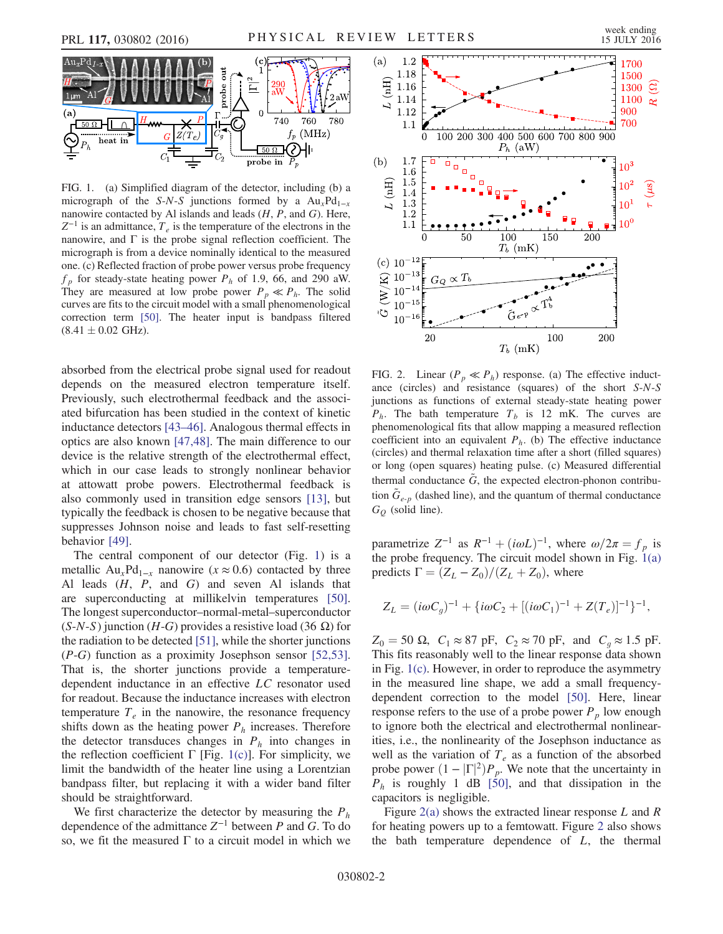<span id="page-2-0"></span>

FIG. 1. (a) Simplified diagram of the detector, including (b) a micrograph of the S-N-S junctions formed by a  $Au_xPd_{1-x}$ nanowire contacted by Al islands and leads  $(H, P, \text{ and } G)$ . Here,  $Z^{-1}$  is an admittance,  $T_e$  is the temperature of the electrons in the nanowire, and  $\Gamma$  is the probe signal reflection coefficient. The micrograph is from a device nominally identical to the measured one. (c) Reflected fraction of probe power versus probe frequency  $f_p$  for steady-state heating power  $P_h$  of 1.9, 66, and 290 aW. They are measured at low probe power  $P_p \ll P_h$ . The solid curves are fits to the circuit model with a small phenomenological correction term [\[50\].](#page-6-6) The heater input is bandpass filtered  $(8.41 \pm 0.02 \text{ GHz}).$ 

absorbed from the electrical probe signal used for readout depends on the measured electron temperature itself. Previously, such electrothermal feedback and the associated bifurcation has been studied in the context of kinetic inductance detectors [\[43](#page-6-3)–46]. Analogous thermal effects in optics are also known [\[47,48\].](#page-6-4) The main difference to our device is the relative strength of the electrothermal effect, which in our case leads to strongly nonlinear behavior at attowatt probe powers. Electrothermal feedback is also commonly used in transition edge sensors [\[13\],](#page-5-8) but typically the feedback is chosen to be negative because that suppresses Johnson noise and leads to fast self-resetting behavior [\[49\]](#page-6-5).

The central component of our detector (Fig. [1](#page-2-0)) is a metallic Au<sub>x</sub>Pd<sub>1−x</sub> nanowire ( $x \approx 0.6$ ) contacted by three Al leads  $(H, P, and G)$  and seven Al islands that are superconducting at millikelvin temperatures [\[50\]](#page-6-6). The longest superconductor–normal-metal–superconductor  $(S-N-S)$  junction (H-G) provides a resistive load (36 Ω) for the radiation to be detected [\[51\],](#page-6-7) while the shorter junctions (P-G) function as a proximity Josephson sensor [\[52,53\]](#page-6-8). That is, the shorter junctions provide a temperaturedependent inductance in an effective LC resonator used for readout. Because the inductance increases with electron temperature  $T_e$  in the nanowire, the resonance frequency shifts down as the heating power  $P_h$  increases. Therefore the detector transduces changes in  $P_h$  into changes in the reflection coefficient Γ [Fig. [1\(c\)\]](#page-2-0). For simplicity, we limit the bandwidth of the heater line using a Lorentzian bandpass filter, but replacing it with a wider band filter should be straightforward.

We first characterize the detector by measuring the  $P_h$ dependence of the admittance  $Z^{-1}$  between P and G. To do so, we fit the measured  $\Gamma$  to a circuit model in which we

<span id="page-2-1"></span>

FIG. 2. Linear ( $P_p \ll P_h$ ) response. (a) The effective inductance (circles) and resistance (squares) of the short S-N-S junctions as functions of external steady-state heating power  $P_h$ . The bath temperature  $T_h$  is 12 mK. The curves are phenomenological fits that allow mapping a measured reflection coefficient into an equivalent  $P_h$ . (b) The effective inductance (circles) and thermal relaxation time after a short (filled squares) or long (open squares) heating pulse. (c) Measured differential thermal conductance  $G$ , the expected electron-phonon contribution  $G_{e-p}$  (dashed line), and the quantum of thermal conductance  $G_Q$  (solid line).

parametrize  $Z^{-1}$  as  $R^{-1} + (i\omega L)^{-1}$ , where  $\omega/2\pi = f_p$  is the probe frequency. The circuit model shown in Fig.  $1(a)$ predicts  $\Gamma = (Z_L - Z_0)/(Z_L + Z_0)$ , where

$$
Z_L = (i\omega C_g)^{-1} + \{i\omega C_2 + [(i\omega C_1)^{-1} + Z(T_e)]^{-1}\}^{-1},
$$

 $Z_0 = 50 \Omega$ ,  $C_1 \approx 87 \text{ pF}$ ,  $C_2 \approx 70 \text{ pF}$ , and  $C_g \approx 1.5 \text{ pF}$ . This fits reasonably well to the linear response data shown in Fig. [1\(c\)](#page-2-0). However, in order to reproduce the asymmetry in the measured line shape, we add a small frequencydependent correction to the model [\[50\].](#page-6-6) Here, linear response refers to the use of a probe power  $P_p$  low enough to ignore both the electrical and electrothermal nonlinearities, i.e., the nonlinearity of the Josephson inductance as well as the variation of  $T_e$  as a function of the absorbed probe power  $(1 - |\Gamma|^2)P_p$ . We note that the uncertainty in  $P_p$ , is roughly 1 dB [50] and that dissination in the  $P_h$  is roughly 1 dB [\[50\],](#page-6-6) and that dissipation in the capacitors is negligible.

Figure  $2(a)$  shows the extracted linear response L and R for heating powers up to a femtowatt. Figure [2](#page-2-1) also shows the bath temperature dependence of  $L$ , the thermal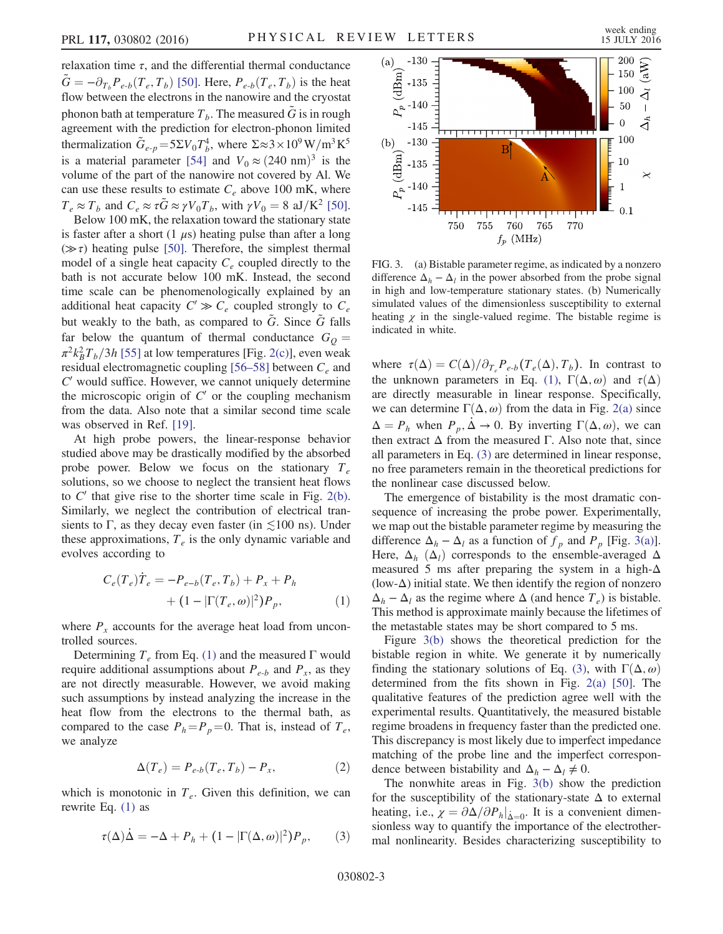relaxation time  $\tau$ , and the differential thermal conductance  $G = -\partial_{T_b}P_{e-b}(T_e, T_b)$  [\[50\]](#page-6-6). Here,  $P_{e-b}(T_e, T_b)$  is the heat flow between the electrons in the nanowire and the cryostat phonon bath at temperature  $T_b$ . The measured  $\tilde{G}$  is in rough agreement with the prediction for electron-phonon limited thermalization  $\tilde{G}_{e-p} = 5\Sigma V_0 T_b^4$ , where  $\Sigma \approx 3 \times 10^9 \,\mathrm{W/m^3 K^5}$ is a material parameter [\[54\]](#page-6-9) and  $V_0 \approx (240 \text{ nm})^3$  is the volume of the part of the nanowire not covered by Al. We can use these results to estimate  $C_e$  above 100 mK, where  $T_e \approx T_b$  and  $C_e \approx \tau \tilde{G} \approx \gamma V_0 T_b$ , with  $\gamma V_0 = 8$  aJ/K<sup>2</sup> [\[50\]](#page-6-6).

Below 100 mK, the relaxation toward the stationary state is faster after a short  $(1 \mu s)$  heating pulse than after a long  $(\gg \tau)$  heating pulse [\[50\]](#page-6-6). Therefore, the simplest thermal model of a single heat capacity  $C_e$  coupled directly to the bath is not accurate below 100 mK. Instead, the second time scale can be phenomenologically explained by an additional heat capacity  $C' \gg C_e$  coupled strongly to  $C_e$ but weakly to the bath, as compared to  $\tilde{G}$ . Since  $\tilde{G}$  falls far below the quantum of thermal conductance  $G<sub>Q</sub>$  $\pi^2 k_B^2 T_b/3h$  [\[55\]](#page-6-10) at low temperatures [Fig. [2\(c\)\]](#page-2-1), even weak residual electromagnetic coupling [\[56](#page-6-11)–58] between  $C_e$  and  $C'$  would suffice. However, we cannot uniquely determine the microscopic origin of  $C'$  or the coupling mechanism from the data. Also note that a similar second time scale was observed in Ref. [\[19\]](#page-5-17).

At high probe powers, the linear-response behavior studied above may be drastically modified by the absorbed probe power. Below we focus on the stationary  $T_e$ solutions, so we choose to neglect the transient heat flows to  $C'$  that give rise to the shorter time scale in Fig. [2\(b\)](#page-2-1). Similarly, we neglect the contribution of electrical transients to Γ, as they decay even faster (in  $\leq 100$  ns). Under these approximations,  $T_e$  is the only dynamic variable and evolves according to

<span id="page-3-0"></span>
$$
C_e(T_e)\dot{T}_e = -P_{e-b}(T_e, T_b) + P_x + P_h + (1 - |\Gamma(T_e, \omega)|^2)P_p,
$$
 (1)

where  $P_x$  accounts for the average heat load from uncontrolled sources.

Determining  $T_e$  from Eq. [\(1\)](#page-3-0) and the measured  $\Gamma$  would require additional assumptions about  $P_{e-b}$  and  $P_x$ , as they are not directly measurable. However, we avoid making such assumptions by instead analyzing the increase in the heat flow from the electrons to the thermal bath, as compared to the case  $P_h = P_p = 0$ . That is, instead of  $T_e$ , we analyze

$$
\Delta(T_e) = P_{e-b}(T_e, T_b) - P_x,\tag{2}
$$

<span id="page-3-1"></span>which is monotonic in  $T_e$ . Given this definition, we can rewrite Eq. [\(1\)](#page-3-0) as

$$
\tau(\Delta)\dot{\Delta} = -\Delta + P_h + (1 - |\Gamma(\Delta, \omega)|^2) P_p, \qquad (3)
$$

<span id="page-3-2"></span>

FIG. 3. (a) Bistable parameter regime, as indicated by a nonzero difference  $\Delta_h - \Delta_l$  in the power absorbed from the probe signal in high and low-temperature stationary states. (b) Numerically simulated values of the dimensionless susceptibility to external heating  $\chi$  in the single-valued regime. The bistable regime is indicated in white.

where  $\tau(\Delta) = C(\Delta)/\partial_{T_e} P_{e-b}(T_e(\Delta), T_b)$ . In contrast to the unknown parameters in Eq. [\(1\),](#page-3-0)  $\Gamma(\Delta, \omega)$  and  $\tau(\Delta)$ are directly measurable in linear response. Specifically, we can determine  $\Gamma(\Delta, \omega)$  from the data in Fig. [2\(a\)](#page-2-1) since  $\Delta = P_h$  when  $P_p$ ,  $\Delta \rightarrow 0$ . By inverting  $\Gamma(\Delta, \omega)$ , we can then extract  $Δ$  from the measured Γ. Also note that, since all parameters in Eq. [\(3\)](#page-3-1) are determined in linear response, no free parameters remain in the theoretical predictions for the nonlinear case discussed below.

The emergence of bistability is the most dramatic consequence of increasing the probe power. Experimentally, we map out the bistable parameter regime by measuring the difference  $\Delta_h - \Delta_l$  as a function of  $f_p$  and  $P_p$  [Fig. [3\(a\)](#page-3-2)]. Here,  $\Delta_h$  ( $\Delta_l$ ) corresponds to the ensemble-averaged  $\Delta$ measured 5 ms after preparing the system in a high- $\Delta$ (low- $\Delta$ ) initial state. We then identify the region of nonzero  $\Delta_h - \Delta_l$  as the regime where  $\Delta$  (and hence  $T_e$ ) is bistable. This method is approximate mainly because the lifetimes of the metastable states may be short compared to 5 ms.

Figure [3\(b\)](#page-3-2) shows the theoretical prediction for the bistable region in white. We generate it by numerically finding the stationary solutions of Eq. [\(3\),](#page-3-1) with  $\Gamma(\Delta, \omega)$ determined from the fits shown in Fig. [2\(a\)](#page-2-1) [\[50\].](#page-6-6) The qualitative features of the prediction agree well with the experimental results. Quantitatively, the measured bistable regime broadens in frequency faster than the predicted one. This discrepancy is most likely due to imperfect impedance matching of the probe line and the imperfect correspondence between bistability and  $\Delta_h - \Delta_l \neq 0$ .

The nonwhite areas in Fig. [3\(b\)](#page-3-2) show the prediction for the susceptibility of the stationary-state  $\Delta$  to external heating, i.e.,  $\chi = \partial \Delta / \partial P_h|_{\Delta=0}$ . It is a convenient dimen-<br>sionless way to quantify the importance of the electrothersionless way to quantify the importance of the electrothermal nonlinearity. Besides characterizing susceptibility to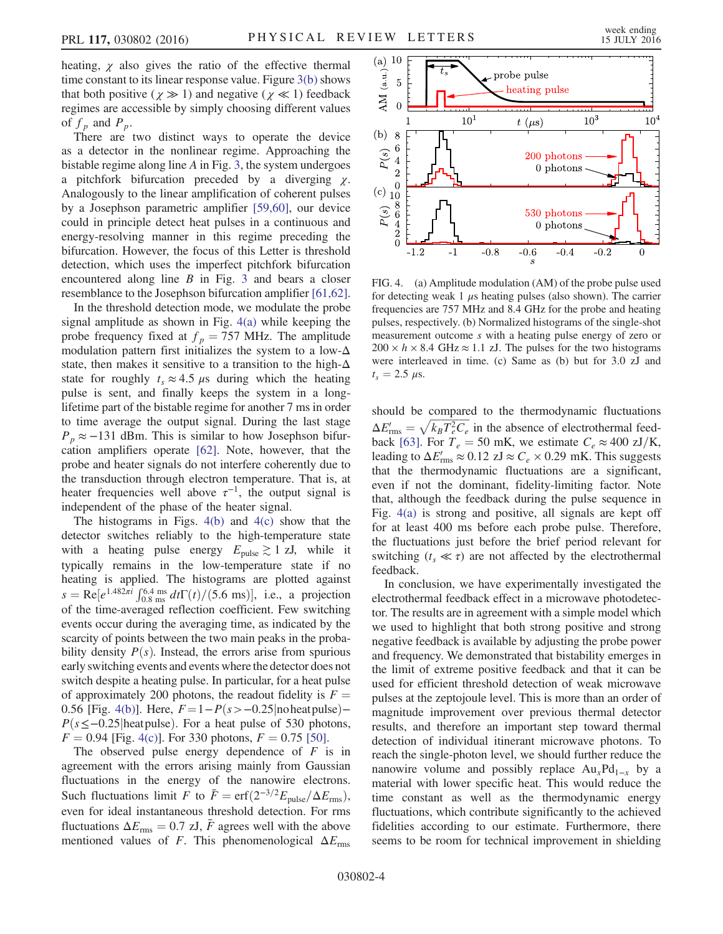heating,  $\chi$  also gives the ratio of the effective thermal time constant to its linear response value. Figure [3\(b\)](#page-3-2) shows that both positive ( $\chi \gg 1$ ) and negative ( $\chi \ll 1$ ) feedback regimes are accessible by simply choosing different values of  $f_p$  and  $P_p$ .

There are two distinct ways to operate the device as a detector in the nonlinear regime. Approaching the bistable regime along line A in Fig. [3,](#page-3-2) the system undergoes a pitchfork bifurcation preceded by a diverging  $\chi$ . Analogously to the linear amplification of coherent pulses by a Josephson parametric amplifier [\[59,60\],](#page-6-12) our device could in principle detect heat pulses in a continuous and energy-resolving manner in this regime preceding the bifurcation. However, the focus of this Letter is threshold detection, which uses the imperfect pitchfork bifurcation encountered along line  $B$  in Fig. [3](#page-3-2) and bears a closer resemblance to the Josephson bifurcation amplifier [\[61,62\]](#page-6-13).

In the threshold detection mode, we modulate the probe signal amplitude as shown in Fig. [4\(a\)](#page-4-0) while keeping the probe frequency fixed at  $f_p = 757$  MHz. The amplitude modulation pattern first initializes the system to a low- $\Delta$ state, then makes it sensitive to a transition to the high- $\Delta$ state for roughly  $t_s \approx 4.5 \mu s$  during which the heating pulse is sent, and finally keeps the system in a longlifetime part of the bistable regime for another 7 ms in order to time average the output signal. During the last stage  $P_p \approx -131$  dBm. This is similar to how Josephson bifurcation amplifiers operate [\[62\].](#page-6-14) Note, however, that the probe and heater signals do not interfere coherently due to the transduction through electron temperature. That is, at heater frequencies well above  $\tau^{-1}$ , the output signal is independent of the phase of the heater signal.

The histograms in Figs.  $4(b)$  and  $4(c)$  show that the detector switches reliably to the high-temperature state with a heating pulse energy  $E_{\text{pulse}} \gtrsim 1$  zJ, while it typically remains in the low-temperature state if no heating is applied. The histograms are plotted against  $s = \text{Re}[e^{1.482\pi i} \int_{0.8 \text{ ms}}^{6.4 \text{ ms}} dt \Gamma(t)/(5.6 \text{ ms})],$  i.e., a projection<br>of the time-averaged reflection coefficient. Few switching of the time-averaged reflection coefficient. Few switching events occur during the averaging time, as indicated by the scarcity of points between the two main peaks in the probability density  $P(s)$ . Instead, the errors arise from spurious early switching events and events where the detector does not switch despite a heating pulse. In particular, for a heat pulse of approximately 200 photons, the readout fidelity is  $F =$ 0.56 [Fig. [4\(b\)\]](#page-4-0). Here,  $F=1-P(s>-0.25|noheat pulse) P(s \leq -0.25$ |heatpulse). For a heat pulse of 530 photons,  $F = 0.94$  [Fig. [4\(c\)\]](#page-4-0). For 330 photons,  $F = 0.75$  [\[50\].](#page-6-6)

The observed pulse energy dependence of  $F$  is in agreement with the errors arising mainly from Gaussian fluctuations in the energy of the nanowire electrons. Such fluctuations limit F to  $\bar{F} = \text{erf}(2^{-3/2}E_{\text{pulse}}/\Delta E_{\text{rms}})$ , even for ideal instantaneous threshold detection. For rms fluctuations  $\Delta E_{\rm rms} = 0.7$  zJ,  $\bar{F}$  agrees well with the above mentioned values of F. This phenomenological  $\Delta E_{\text{rms}}$ 

<span id="page-4-0"></span>

FIG. 4. (a) Amplitude modulation (AM) of the probe pulse used for detecting weak 1  $\mu$ s heating pulses (also shown). The carrier frequencies are 757 MHz and 8.4 GHz for the probe and heating pulses, respectively. (b) Normalized histograms of the single-shot measurement outcome s with a heating pulse energy of zero or  $200 \times h \times 8.4 \text{ GHz} \approx 1.1 \text{ zJ}$ . The pulses for the two histograms were interleaved in time. (c) Same as (b) but for 3.0 zJ and  $t_s = 2.5 \mu s$ .

should be compared to the thermodynamic fluctuations  $\Delta E'_{\text{rms}} = \sqrt{k_B T_e^2 C_e}$  in the absence of electrothermal feed-<br>hack [63] For  $T = 50$  mK, we estimate  $C \approx 400$  zJ/K back [\[63\].](#page-6-15) For  $T_e = 50$  mK, we estimate  $C_e \approx 400$  zJ/K, leading to  $\Delta E_{\rm rms} \approx 0.12$  zJ  $\approx C_e \times 0.29$  mK. This suggests that the thermodynamic fluctuations are a significant, even if not the dominant, fidelity-limiting factor. Note that, although the feedback during the pulse sequence in Fig. [4\(a\)](#page-4-0) is strong and positive, all signals are kept off for at least 400 ms before each probe pulse. Therefore, the fluctuations just before the brief period relevant for switching ( $t_s \ll \tau$ ) are not affected by the electrothermal feedback.

In conclusion, we have experimentally investigated the electrothermal feedback effect in a microwave photodetector. The results are in agreement with a simple model which we used to highlight that both strong positive and strong negative feedback is available by adjusting the probe power and frequency. We demonstrated that bistability emerges in the limit of extreme positive feedback and that it can be used for efficient threshold detection of weak microwave pulses at the zeptojoule level. This is more than an order of magnitude improvement over previous thermal detector results, and therefore an important step toward thermal detection of individual itinerant microwave photons. To reach the single-photon level, we should further reduce the nanowire volume and possibly replace  $Au_xPd_{1-x}$  by a material with lower specific heat. This would reduce the time constant as well as the thermodynamic energy fluctuations, which contribute significantly to the achieved fidelities according to our estimate. Furthermore, there seems to be room for technical improvement in shielding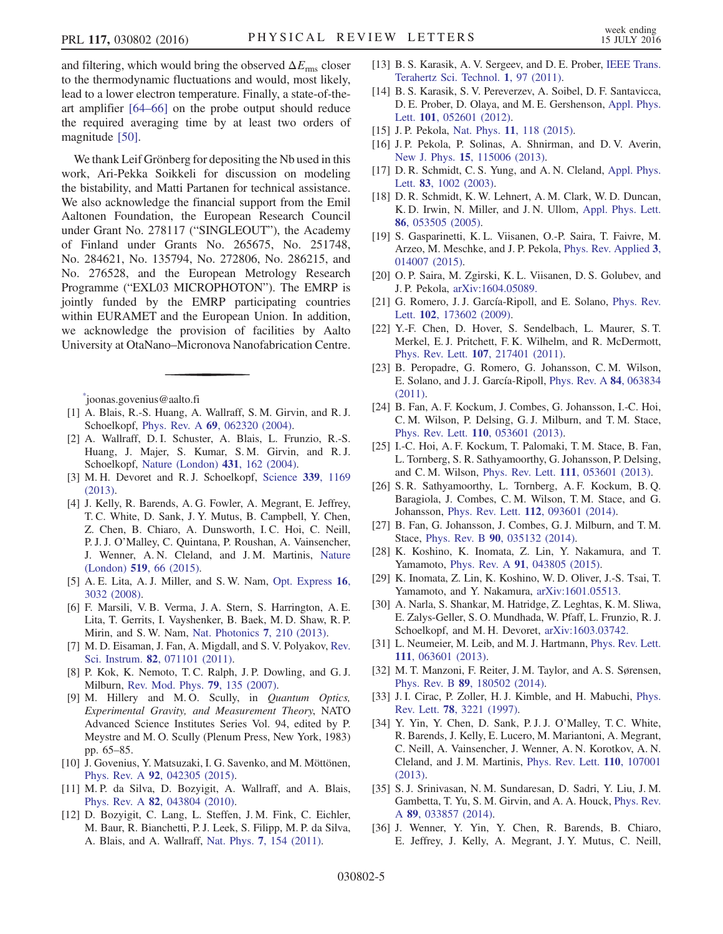and filtering, which would bring the observed  $\Delta E_{\rm rms}$  closer to the thermodynamic fluctuations and would, most likely, lead to a lower electron temperature. Finally, a state-of-theart amplifier [\[64](#page-6-16)–66] on the probe output should reduce the required averaging time by at least two orders of magnitude [\[50\].](#page-6-6)

We thank Leif Grönberg for depositing the Nb used in this work, Ari-Pekka Soikkeli for discussion on modeling the bistability, and Matti Partanen for technical assistance. We also acknowledge the financial support from the Emil Aaltonen Foundation, the European Research Council under Grant No. 278117 ("SINGLEOUT"), the Academy of Finland under Grants No. 265675, No. 251748, No. 284621, No. 135794, No. 272806, No. 286215, and No. 276528, and the European Metrology Research Programme ("EXL03 MICROPHOTON"). The EMRP is jointly funded by the EMRP participating countries within EURAMET and the European Union. In addition, we acknowledge the provision of facilities by Aalto University at OtaNano–Micronova Nanofabrication Centre.

<span id="page-5-0"></span>[\\*](#page-1-0) joonas.govenius@aalto.fi

- <span id="page-5-1"></span>[1] A. Blais, R.-S. Huang, A. Wallraff, S. M. Girvin, and R. J. Schoelkopf, Phys. Rev. A 69[, 062320 \(2004\)](http://dx.doi.org/10.1103/PhysRevA.69.062320).
- [2] A. Wallraff, D. I. Schuster, A. Blais, L. Frunzio, R.-S. Huang, J. Majer, S. Kumar, S. M. Girvin, and R. J. Schoelkopf, [Nature \(London\)](http://dx.doi.org/10.1038/nature02851) 431, 162 (2004).
- <span id="page-5-2"></span>[3] M. H. Devoret and R. J. Schoelkopf, [Science](http://dx.doi.org/10.1126/science.1231930) 339, 1169 [\(2013\).](http://dx.doi.org/10.1126/science.1231930)
- [4] J. Kelly, R. Barends, A. G. Fowler, A. Megrant, E. Jeffrey, T. C. White, D. Sank, J. Y. Mutus, B. Campbell, Y. Chen, Z. Chen, B. Chiaro, A. Dunsworth, I. C. Hoi, C. Neill, P. J. J. O'Malley, C. Quintana, P. Roushan, A. Vainsencher, J. Wenner, A. N. Cleland, and J. M. Martinis, [Nature](http://dx.doi.org/10.1038/nature14270) (London) 519[, 66 \(2015\).](http://dx.doi.org/10.1038/nature14270)
- <span id="page-5-3"></span>[5] A. E. Lita, A. J. Miller, and S. W. Nam, [Opt. Express](http://dx.doi.org/10.1364/OE.16.003032) 16, [3032 \(2008\)](http://dx.doi.org/10.1364/OE.16.003032).
- [6] F. Marsili, V. B. Verma, J. A. Stern, S. Harrington, A. E. Lita, T. Gerrits, I. Vayshenker, B. Baek, M. D. Shaw, R. P. Mirin, and S. W. Nam, [Nat. Photonics](http://dx.doi.org/10.1038/nphoton.2013.13) 7, 210 (2013).
- <span id="page-5-4"></span>[7] M. D. Eisaman, J. Fan, A. Migdall, and S. V. Polyakov, [Rev.](http://dx.doi.org/10.1063/1.3610677) Sci. Instrum. 82[, 071101 \(2011\).](http://dx.doi.org/10.1063/1.3610677)
- <span id="page-5-5"></span>[8] P. Kok, K. Nemoto, T. C. Ralph, J. P. Dowling, and G. J. Milburn, [Rev. Mod. Phys.](http://dx.doi.org/10.1103/RevModPhys.79.135) 79, 135 (2007).
- [9] M. Hillery and M.O. Scully, in *Quantum Optics*, Experimental Gravity, and Measurement Theory, NATO Advanced Science Institutes Series Vol. 94, edited by P. Meystre and M. O. Scully (Plenum Press, New York, 1983) pp. 65–85.
- <span id="page-5-7"></span><span id="page-5-6"></span>[10] J. Govenius, Y. Matsuzaki, I. G. Savenko, and M. Möttönen, Phys. Rev. A 92[, 042305 \(2015\)](http://dx.doi.org/10.1103/PhysRevA.92.042305).
- [11] M. P. da Silva, D. Bozyigit, A. Wallraff, and A. Blais, Phys. Rev. A 82[, 043804 \(2010\)](http://dx.doi.org/10.1103/PhysRevA.82.043804).
- [12] D. Bozyigit, C. Lang, L. Steffen, J. M. Fink, C. Eichler, M. Baur, R. Bianchetti, P. J. Leek, S. Filipp, M. P. da Silva, A. Blais, and A. Wallraff, Nat. Phys. 7[, 154 \(2011\).](http://dx.doi.org/10.1038/nphys1845)
- <span id="page-5-8"></span>[13] B. S. Karasik, A. V. Sergeev, and D. E. Prober, [IEEE Trans.](http://dx.doi.org/10.1109/TTHZ.2011.2159560) [Terahertz Sci. Technol.](http://dx.doi.org/10.1109/TTHZ.2011.2159560) 1, 97 (2011).
- <span id="page-5-9"></span>[14] B. S. Karasik, S. V. Pereverzev, A. Soibel, D. F. Santavicca, D. E. Prober, D. Olaya, and M. E. Gershenson, [Appl. Phys.](http://dx.doi.org/10.1063/1.4739839) Lett. 101[, 052601 \(2012\)](http://dx.doi.org/10.1063/1.4739839).
- <span id="page-5-11"></span><span id="page-5-10"></span>[15] J. P. Pekola, Nat. Phys. **11**[, 118 \(2015\)](http://dx.doi.org/10.1038/nphys3169).
- [16] J. P. Pekola, P. Solinas, A. Shnirman, and D. V. Averin, New J. Phys. 15[, 115006 \(2013\)](http://dx.doi.org/10.1088/1367-2630/15/11/115006).
- <span id="page-5-12"></span>[17] D. R. Schmidt, C. S. Yung, and A. N. Cleland, [Appl. Phys.](http://dx.doi.org/10.1063/1.1597983) Lett. 83[, 1002 \(2003\)](http://dx.doi.org/10.1063/1.1597983).
- [18] D. R. Schmidt, K. W. Lehnert, A. M. Clark, W. D. Duncan, K. D. Irwin, N. Miller, and J. N. Ullom, [Appl. Phys. Lett.](http://dx.doi.org/10.1063/1.1855411) 86[, 053505 \(2005\).](http://dx.doi.org/10.1063/1.1855411)
- <span id="page-5-17"></span>[19] S. Gasparinetti, K. L. Viisanen, O.-P. Saira, T. Faivre, M. Arzeo, M. Meschke, and J. P. Pekola, [Phys. Rev. Applied](http://dx.doi.org/10.1103/PhysRevApplied.3.014007) 3, [014007 \(2015\).](http://dx.doi.org/10.1103/PhysRevApplied.3.014007)
- [20] O. P. Saira, M. Zgirski, K. L. Viisanen, D. S. Golubev, and J. P. Pekola, [arXiv:1604.05089.](http://arXiv.org/abs/1604.05089)
- <span id="page-5-13"></span>[21] G. Romero, J. J. García-Ripoll, and E. Solano, [Phys. Rev.](http://dx.doi.org/10.1103/PhysRevLett.102.173602) Lett. **102**[, 173602 \(2009\)](http://dx.doi.org/10.1103/PhysRevLett.102.173602).
- [22] Y.-F. Chen, D. Hover, S. Sendelbach, L. Maurer, S. T. Merkel, E. J. Pritchett, F. K. Wilhelm, and R. McDermott, Phys. Rev. Lett. 107[, 217401 \(2011\).](http://dx.doi.org/10.1103/PhysRevLett.107.217401)
- [23] B. Peropadre, G. Romero, G. Johansson, C. M. Wilson, E. Solano, and J. J. García-Ripoll, [Phys. Rev. A](http://dx.doi.org/10.1103/PhysRevA.84.063834) 84, 063834 [\(2011\).](http://dx.doi.org/10.1103/PhysRevA.84.063834)
- [24] B. Fan, A. F. Kockum, J. Combes, G. Johansson, I.-C. Hoi, C. M. Wilson, P. Delsing, G. J. Milburn, and T. M. Stace, Phys. Rev. Lett. 110[, 053601 \(2013\).](http://dx.doi.org/10.1103/PhysRevLett.110.053601)
- [25] I.-C. Hoi, A. F. Kockum, T. Palomaki, T. M. Stace, B. Fan, L. Tornberg, S. R. Sathyamoorthy, G. Johansson, P. Delsing, and C. M. Wilson, Phys. Rev. Lett. 111[, 053601 \(2013\)](http://dx.doi.org/10.1103/PhysRevLett.111.053601).
- [26] S. R. Sathyamoorthy, L. Tornberg, A. F. Kockum, B. Q. Baragiola, J. Combes, C. M. Wilson, T. M. Stace, and G. Johansson, Phys. Rev. Lett. 112[, 093601 \(2014\)](http://dx.doi.org/10.1103/PhysRevLett.112.093601).
- [27] B. Fan, G. Johansson, J. Combes, G. J. Milburn, and T. M. Stace, Phys. Rev. B 90[, 035132 \(2014\).](http://dx.doi.org/10.1103/PhysRevB.90.035132)
- [28] K. Koshino, K. Inomata, Z. Lin, Y. Nakamura, and T. Yamamoto, Phys. Rev. A 91[, 043805 \(2015\)](http://dx.doi.org/10.1103/PhysRevA.91.043805).
- <span id="page-5-14"></span>[29] K. Inomata, Z. Lin, K. Koshino, W. D. Oliver, J.-S. Tsai, T. Yamamoto, and Y. Nakamura, [arXiv:1601.05513.](http://arXiv.org/abs/1601.05513)
- [30] A. Narla, S. Shankar, M. Hatridge, Z. Leghtas, K. M. Sliwa, E. Zalys-Geller, S. O. Mundhada, W. Pfaff, L. Frunzio, R. J. Schoelkopf, and M. H. Devoret, [arXiv:1603.03742.](http://arXiv.org/abs/1603.03742)
- <span id="page-5-15"></span>[31] L. Neumeier, M. Leib, and M. J. Hartmann, [Phys. Rev. Lett.](http://dx.doi.org/10.1103/PhysRevLett.111.063601) 111[, 063601 \(2013\).](http://dx.doi.org/10.1103/PhysRevLett.111.063601)
- <span id="page-5-16"></span>[32] M. T. Manzoni, F. Reiter, J. M. Taylor, and A. S. Sørensen, Phys. Rev. B 89[, 180502 \(2014\).](http://dx.doi.org/10.1103/PhysRevB.89.180502)
- [33] J. I. Cirac, P. Zoller, H. J. Kimble, and H. Mabuchi, [Phys.](http://dx.doi.org/10.1103/PhysRevLett.78.3221) Rev. Lett. 78[, 3221 \(1997\)](http://dx.doi.org/10.1103/PhysRevLett.78.3221).
- [34] Y. Yin, Y. Chen, D. Sank, P. J. J. O'Malley, T. C. White, R. Barends, J. Kelly, E. Lucero, M. Mariantoni, A. Megrant, C. Neill, A. Vainsencher, J. Wenner, A. N. Korotkov, A. N. Cleland, and J. M. Martinis, [Phys. Rev. Lett.](http://dx.doi.org/10.1103/PhysRevLett.110.107001) 110, 107001 [\(2013\).](http://dx.doi.org/10.1103/PhysRevLett.110.107001)
- [35] S. J. Srinivasan, N. M. Sundaresan, D. Sadri, Y. Liu, J. M. Gambetta, T. Yu, S. M. Girvin, and A. A. Houck, [Phys. Rev.](http://dx.doi.org/10.1103/PhysRevA.89.033857) A 89[, 033857 \(2014\)](http://dx.doi.org/10.1103/PhysRevA.89.033857).
- [36] J. Wenner, Y. Yin, Y. Chen, R. Barends, B. Chiaro, E. Jeffrey, J. Kelly, A. Megrant, J. Y. Mutus, C. Neill,